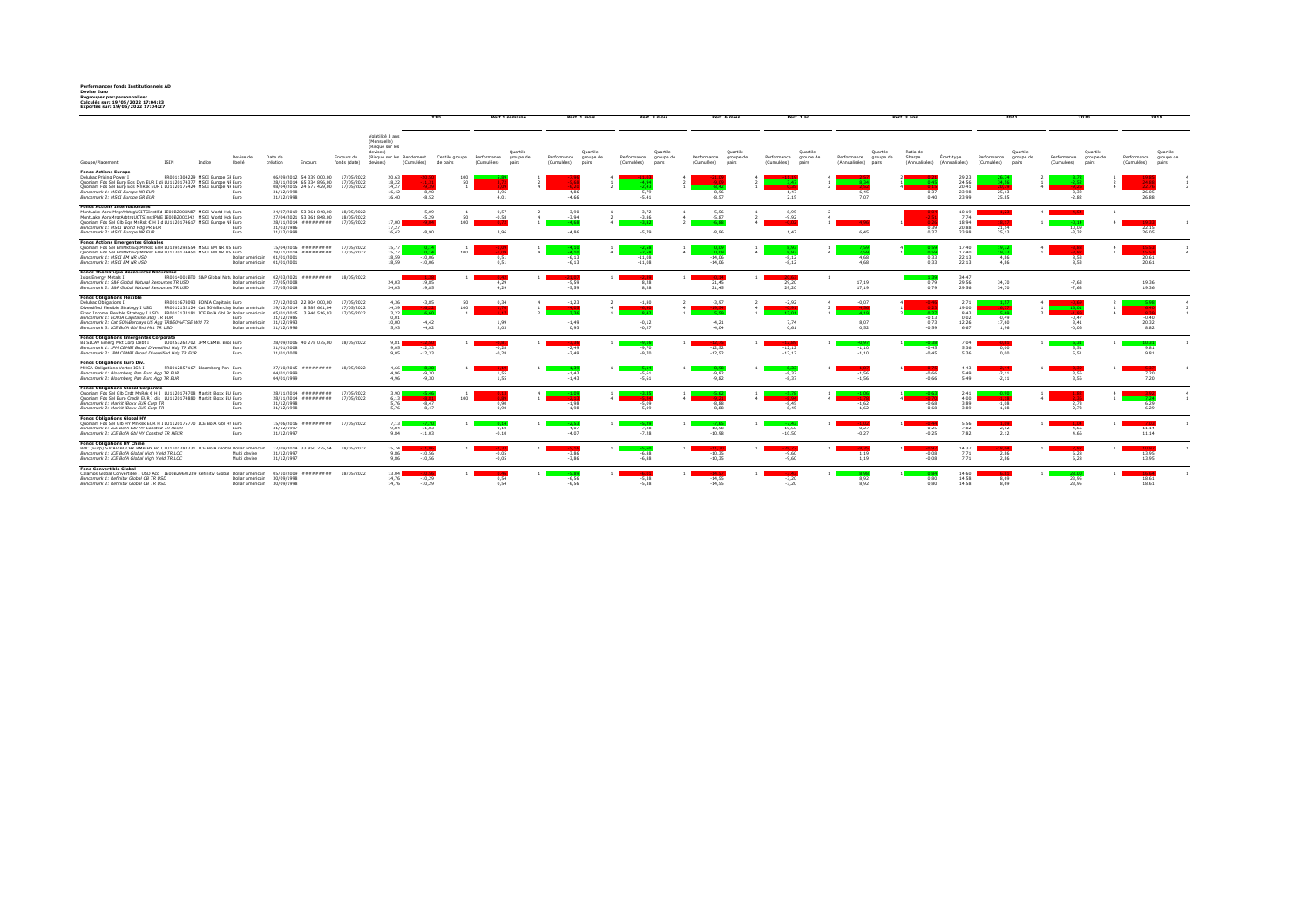**Performances fonds Institutionnels AD Devise Euro Regrouper par:personnaliser Calculés sur: 19/05/2022 17:04:23 Exportés sur: 19/05/2022 17:04:27**

|                                                                                                                                                                                                                                                                                                                                           |                                  |                                   |                                                                                              |                                        |                                                                                  |                                        |                                                                            |                                                 | <b>YTD</b>                                                                 |                    | Perf 1 semaine     |                               | Perf. 1 mois                   | Perf. 3 mois                                                | Perf. 6 mois                                             | Perf. 1 an                                               |                                                             | Perf. 3 ans                |                                                |                                     |                   | 2020                       |                                | 2019                                |                   |
|-------------------------------------------------------------------------------------------------------------------------------------------------------------------------------------------------------------------------------------------------------------------------------------------------------------------------------------------|----------------------------------|-----------------------------------|----------------------------------------------------------------------------------------------|----------------------------------------|----------------------------------------------------------------------------------|----------------------------------------|----------------------------------------------------------------------------|-------------------------------------------------|----------------------------------------------------------------------------|--------------------|--------------------|-------------------------------|--------------------------------|-------------------------------------------------------------|----------------------------------------------------------|----------------------------------------------------------|-------------------------------------------------------------|----------------------------|------------------------------------------------|-------------------------------------|-------------------|----------------------------|--------------------------------|-------------------------------------|-------------------|
| Groupe/Placement                                                                                                                                                                                                                                                                                                                          |                                  | Indice                            | Devise de<br>libellé                                                                         | Date de<br>création                    |                                                                                  | Encours du<br>fonds (date)             | Volatilité 3 ans<br>(Mensuelle)<br>(Risque sur les<br>devises)<br>devises) | (Cumulées)                                      | (Risque sur les Rendement Centile groupe Performance groupe de<br>de pairs | (Cumulées)         | Ouartile<br>nairs  | Performance<br>(Cumulées)     | Quartile<br>groupe de<br>nairs | Ouartile<br>Performance<br>groupe de<br>(Cumulées)<br>pairs | Ouartile<br>Performance groupe de<br>(Cumulées)<br>nairs | Ouartile<br>Performance groupe de<br>(Cumulées)<br>nairs | Quartile<br>Performance groupe de<br>(Annualisées)<br>pairs | Ratio de<br>Sharpe         | Ecart-type<br>(Annualisées) (Annualisées)      | Performance groupe de<br>(Cumulées) | Quartile<br>nairs | Performance<br>(Cumulées)  | Quartile<br>groupe de<br>pairs | Performance groupe de<br>(Cumulées) | Quartile<br>nairs |
| <b>Fonds Actions Europe</b><br>Delubac Pricing Power I<br>Quoniam Fds Sel Eurp Eqs Dyn EUR I di LU1120174377 MSCI Europe NI Euro<br>Ouoniam Fds Sel Euro Eos MnRsk EUR I LU1120175424 MSCI Europe NI Euro<br>Benchmark 1: MSCI Europe NR EUR<br>Benchmark 2: MSCI Europe GR EUR                                                           |                                  | FR0011304229 MSCI Europe GI Euro  | Euro<br>Euro                                                                                 | 31/12/1998<br>31/12/1998               | 06/09/2012 54 339 000.00<br>28/11/2014 65 334 896.00<br>08/04/2015 24 577 429.00 | 17/05/2022<br>17/05/2022<br>17/05/2022 | 20.63<br>18.22<br>14.27<br>16.42<br>16.40                                  | $-0.2$<br>$-8,90$<br>$-8.52$                    | 100<br>50                                                                  |                    | 3,96<br>4.01       | $-4.86$<br>$-4.66$            |                                | $-5.79$<br>$-5.41$                                          | $-8.96$<br>$-8.57$                                       | 1.47<br>2.15                                             | 6.45<br>7.07                                                | 0.40                       | 29,23<br>24,56<br>20.41<br>23.98<br>23.99      | 25.13<br>25.85                      |                   | $-2.82$                    |                                | 24.5<br>26.05<br>26.88              |                   |
| <b>Fonds Actions Internationales</b><br>MontLake Abrx MrgrArbtrgUCITSInstiFd IE00BZ00XN87 MSCI World Hd Euro<br>MontLake AbrxMrgrArbtrgUCTSInstIPIdE IE00BZ00XJ42 MSCI World Hd Euro<br>Ouoniam Fds Sel Glb Egs MnRsk C H I c LU1120174617 MSCI Europe NI Euro<br>Benchmark 1: MSCI World Hdg PR EUR<br>Benchmark 2: MSCI Europe NR EUR   |                                  |                                   | Euro<br>Euro                                                                                 | 31/03/1986<br>31/12/1998               | 24/07/2019 53 361 848.00<br>27/04/2021 53 361 848.00<br>28/11/2014 #########     | 18/05/2022<br>18/05/2022<br>17/05/2022 | 17.00<br>17.27<br>16.42                                                    | $-5.09$<br>$-5,29$<br>$-8.90$                   | 50<br>100                                                                  | $-0.57$            | $-0.58$<br>3.96    | $-3.90$<br>$-3.94$<br>$-4.86$ |                                | $-3.72$<br>$-3.86$<br>$-5.79$                               | $-5.56$<br>$-5.87$<br>$-8.96$                            | $-8.95$<br>$-9.92$<br>1.47                               | 6.45                                                        | 0.39<br>0.37               | 10.19<br>7.74<br>18.94<br>20.88<br>23.98       | 21,54<br>25.13                      |                   | 10.09<br>$-3.32$           |                                | 22.15<br>26.05                      |                   |
| <b>Fonds Actions Emergentes Globales</b><br>Quoniam Fds Sel EmMktsEgsMnRsk EUF LU1395298554 MSCI EM NR US Euro<br>Ouoniam Fds Sel EmMktsEosMnRsk EUF LU1120174450 MSCI EM NR US Euro<br>Benchmark 1: MSCI EM NR USD<br>Benchmark 2: MSCI EM NR USD                                                                                        |                                  |                                   | Dollar américair 01/01/2001<br>Dollar américair                                              | 01/01/2001                             | 15/04/2016 #########<br>28/11/2014 #########                                     | 17/05/2022<br>17/05/2022               | 15.77<br>15.77<br>18.59<br>18.59                                           | $-10.06$<br>$-10.06$                            | 100                                                                        | 0.51               | 0.51               | $-6.13$<br>$-6.13$            |                                | $-11.08$<br>$-11.08$                                        | $-14.06$<br>$-14.06$                                     | $-8.12$<br>$-8.12$                                       | $\mathbf{d}$<br>4.68<br>4.68                                | 0.33<br>0.33               | 17.40<br>17.40<br>22.13<br>22.13               | 10.5<br>4.86<br>4.86                |                   | 8.53<br>8.53               |                                | 20.61<br>20.61                      |                   |
| Fonds Thématique Ressources Naturelles<br>Ixios Energy Metals I<br>Benchmark 1: S&P Global Natural Resources TR USD<br>Benchmark 2: S&P Global Natural Resources TR USD                                                                                                                                                                   |                                  |                                   | FR0014001BT0_S&P Global Nati Dollar américair<br>Dollar américair<br>Dollar américair        | 27/05/2008<br>27/05/2008               | 02/03/2021 ######### 18/05/2022                                                  |                                        | 24.03<br>24.03                                                             | 19,85<br>19.85                                  |                                                                            |                    | 4,29<br>4.29       | $-5.59$<br>$-5.59$            |                                | 8,28<br>8.28                                                | 21,45<br>21.45                                           | 29,20<br>29.20                                           | 17.19<br>17.19                                              | 0,79<br>0.79               | 34.47<br>29.56<br>29.56                        | 34,70<br>34.70                      |                   | $-7.63$<br>$-7.63$         |                                | 19.36<br>19.36                      |                   |
| <b>Fonds Obligations Flexible</b><br>Delubac Obligations I<br>Diversified Flexible Strategy I USD<br>Fixed Income Flexible Strategy I USD FR0012132181 ICE BofA Gbl Br Dollar américair<br>Benchmark 1: EONIA Capitalisé 360j TR EUR<br>Benchmark 2: Cat 50%Barclays US Agg TR&50%FTSE WId TR<br>Benchmark 3: ICE BofA Gbl Brd Mkt TR USD |                                  | FR0011678093 EONIA Capitalis Euro | FR0012132124 Cat 50%Barclay Dollar américair<br>Euro<br>Dollar américair<br>Dollar américair | 31/12/1985<br>31/12/1993<br>31/12/1996 | 27/12/2013 22 804 000,00<br>29/12/2014 8 589 661,04<br>05/01/2015 3 946 516,93   | 17/05/2022<br>17/05/2022<br>17/05/2022 | 4,36<br>14,39<br>3.22<br>0,01<br>10.00<br>5.93                             | $-3,85$<br>$-16 -$<br>-66<br>$-4.42$<br>$-4.02$ | 50<br>100                                                                  | 0.34               | 1.99<br>2.03       | $-1,23$<br>$-1.49$<br>0.93    |                                | $-1.80$<br>$-0.12$<br>$-0.27$                               | $-3,97$<br>$-4.21$<br>$-4.04$                            | $-2,92$<br>7.74<br>0.61                                  | $-0.07$<br>8.07<br>0.52                                     | $-0.13$<br>0.73<br>$-0.59$ | 2,71<br>19.00<br>8.43<br>0.02<br>12.26<br>6.67 | $-0.49$<br>17.60<br>1.96            |                   | $-0.47$<br>3.41<br>$-0.06$ |                                | $-0.40$<br>20.32<br>8.82            |                   |
| <b>Fonds Obligations Emergentes Corporate</b><br>BI SICAV Emerg Mkt Corp Debt I<br>Benchmark 1: JPM CEMBI Broad Diversified Hdg TR EUR<br>Benchmark 2: JPM CEMBI Broad Diversified Hdg TR EUR                                                                                                                                             | LU0253262702 JPM CEMBI Bro; Euro |                                   | Euro<br>Euro                                                                                 | 31/01/2008<br>31/01/2008               | 28/09/2006 40 278 075.00                                                         | 18/05/2022                             | 9.81<br>9.05<br>9.05                                                       | $-12,33$<br>$-12.33$                            |                                                                            |                    | $-0,28$<br>$-0.28$ | $-2.49$<br>$-2.49$            |                                | $-9.70$<br>$-9.70$                                          | $-12,52$<br>$-12.52$                                     | $-12,12$<br>$-12.12$                                     | $-1.10$<br>$-1.10$                                          | $-0.45$<br>$-0.45$         | 7.04<br>5.36<br>5.36                           | 0.00<br>0.00                        |                   | 5.51<br>5.51               |                                | $-10.3$<br>9.81<br>9.81             |                   |
| Fonds Obligations Euro Div.<br>MHGA Obligations Vertes ISR I<br>Benchmark 1: Bloomberg Pan Euro Agg TR EUR<br>Benchmark 2: Bloomberg Pan Euro Agg TR EUR                                                                                                                                                                                  |                                  | FR0012857167 Bloomberg Pan Euro   | Euro<br>Euro                                                                                 | 04/01/1999<br>04/01/1999               | 27/10/2015 ######### 18/05/2022                                                  |                                        | 4.66<br>4.96<br>4.96                                                       | $-9,30$<br>$-9.30$                              |                                                                            | 1,55               | 1.55               | $-1.43$<br>$-1.43$            |                                | $-5.61$<br>$-5.61$                                          | $-9.82$<br>$-9.82$                                       | $-8.37$<br>$-8.37$                                       | $-1.56$<br>$-1.56$                                          | $-0,66$<br>$-0.66$         | 4.43<br>5.49<br>5.49                           | $-2,11$<br>$-2.11$                  |                   | 3.56<br>3.56               |                                | 7,20<br>7.20                        |                   |
| <b>Fonds Obligations Global Corporate</b><br>Ouoniam Fds Sel Glb Crdt MnRsk C H I LU1120174708 Markit iBoxx EU Euro<br>Quoniam Fds Sel Euro Credit EUR I dis LU1120174880 Markit iBoxx EU Euro<br>Benchmark 1: Markit IBoxx EUR Corp TR<br>Benchmark 2: Markit IBoxx EUR Corp TR                                                          |                                  |                                   | Euro<br>Euro                                                                                 | 31/12/1998<br>31/12/1998               | 28/11/2014 ######### 17/05/2022<br>28/11/2014 ######## 17/05/2022                |                                        | 3.90<br>6.13<br>5.76<br>5,76                                               | - 10.6<br>$-8.47$<br>$-8.47$                    | 100                                                                        |                    | 0.90<br>0,90       | $-1.98$<br>$-1,98$            |                                | $-5.09$<br>$-5,09$                                          | $-8.88$<br>$-8.88$                                       | $-8.45$<br>$-8,45$                                       | $-1.62$<br>$-1,62$                                          | $-0.68$<br>$-0.68$         | 2,41<br>4.00<br>3.89<br>3,89                   | $-1.08$<br>$-1,08$                  |                   | 2.73<br>2,73               |                                | 6.29<br>6,29                        |                   |
| <b>Fonds Obligations Global HY</b><br>Ouoniam Fds Sel Glb HY MnRsk EUR H   LU1120175770 ICE BofA Gbl H' Euro<br>Benchmark 1: ICE BofA GbI HY Constnd TR HEUR<br>Benchmark 2: ICE BofA GbI HY Constnd TR HEUR                                                                                                                              |                                  |                                   | Euro<br>Euro                                                                                 | 31/12/1997<br>31/12/1997               | 15/06/2016 ######### 17/05/2022                                                  |                                        | 7.13<br>9.84<br>9,84                                                       | $-11,03$<br>$-11,03$                            |                                                                            | $-0.10$<br>$-0,10$ |                    | $-4n$<br>$-4.07$              |                                | $-7.28$<br>$-7,28$                                          | $-10.98$<br>$-10,98$                                     | $-10.50$<br>$-10,50$                                     | $-0.27$<br>$-0,27$                                          | $-0.25$<br>$-0,25$         | 5.56<br>7.82<br>7,82                           | 2,12<br>2,12                        |                   | 4.66<br>4.66               |                                | 11,14<br>11,14                      |                   |
| <b>Fonds Obligations HY Chine</b><br>BOC (Eurp) SICAV BOCHK RMB HY Bd ( LU1101282231 ICE BofA Global Dollar américair<br>Benchmark 1: ICE BofA Global High Yield TR LOC<br>Benchmark 2: ICE BofA Global High Yield TR LOC                                                                                                                 |                                  |                                   | Multi devise<br>Multi devise                                                                 | 31/12/1997<br>31/12/1997               | 12/09/2014 33 850 225,54                                                         | 18/05/2022                             | 15,74<br>9.86<br>9.86                                                      | $-11.0$<br>$-10.56$<br>$-10,56$                 |                                                                            | $-0.05$<br>$-0.05$ |                    | $-3.86$<br>$-3.86$            |                                | $-6.88$<br>$-6.88$                                          | $-10.35$<br>$-10.35$                                     | $-9.60$<br>$-9.60$                                       | 1.19<br>1.19                                                | $-0.08$<br>$-0.08$         | 14,37<br>7,71<br>7.71                          | 2.86<br>2.86                        |                   | 6.28<br>6.28               |                                | 13.95<br>13,95                      |                   |
| <b>Fond Convertible Global</b><br>Calamos Global Convertible I USD Acc IE00B296W289 Refinitiv Global Dollar américair<br>Benchmark 1: Refinitiv Global CB TR USD<br>Benchmark 2: Refinitiv Global CB TR USD                                                                                                                               |                                  |                                   | Dollar américair<br>Dollar américair                                                         | 30/09/1998<br>30/09/1998               | 05/10/2009 ######### 18/05/2022                                                  |                                        | 13,04<br>14.76<br>14.76                                                    | $-10.29$<br>$-10.29$                            |                                                                            |                    | 0.54<br>0.54       | $-6.56$<br>$-6.56$            |                                | $-5.38$<br>$-5.38$                                          | $-14.55$<br>$-14.55$                                     | $-3.20$<br>$-3.20$                                       | 8.92<br>8.92                                                | 0.80<br>0.80               | 14,60<br>14.58<br>14.58                        | 8.69<br>8.69                        |                   | 23.95<br>23.95             |                                | 18.61<br>18.61                      |                   |